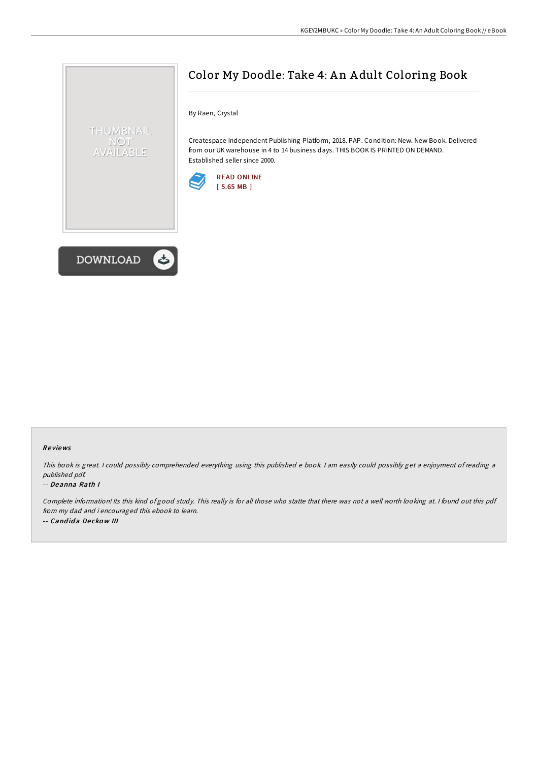

By Raen, Crystal

Createspace Independent Publishing Platform, 2018. PAP. Condition: New. New Book. Delivered from our UK warehouse in 4 to 14 business days. THIS BOOK IS PRINTED ON DEMAND. Established seller since 2000.





THUMBNAIL NOT AVAILABLE

## Re views

This book is great. <sup>I</sup> could possibly comprehended everything using this published <sup>e</sup> book. <sup>I</sup> am easily could possibly get <sup>a</sup> enjoyment of reading <sup>a</sup> published pdf.

## -- Deanna Rath I

Complete information! Its this kind of good study. This really is for all those who statte that there was not <sup>a</sup> well worth looking at. <sup>I</sup> found out this pdf from my dad and i encouraged this ebook to learn. -- Cand id a De cko <sup>w</sup> III